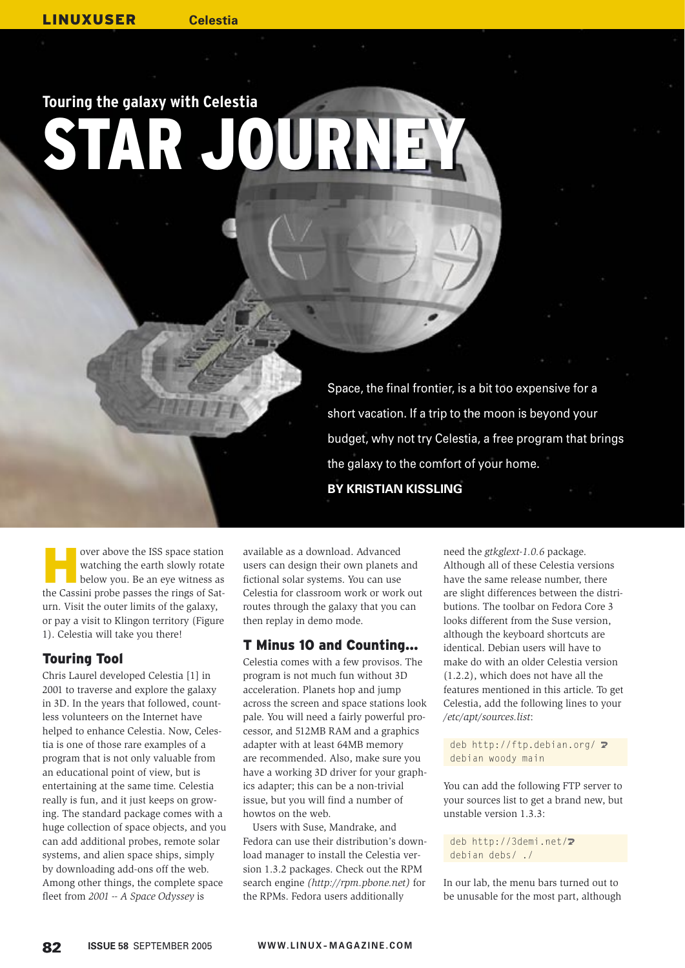# **Touring the galaxy with Celestia** AR JOURNE

Space, the final frontier, is a bit too expensive for a short vacation. If a trip to the moon is beyond your budget, why not try Celestia, a free program that brings the galaxy to the comfort of your home.

**BY KRISTIAN KISSLING**

over above the ISS space station<br>
watching the earth slowly rotate<br>
below you. Be an eye witness as watching the earth slowly rotate the Cassini probe passes the rings of Saturn. Visit the outer limits of the galaxy, or pay a visit to Klingon territory (Figure 1). Celestia will take you there!

## Touring Tool

Chris Laurel developed Celestia [1] in 2001 to traverse and explore the galaxy in 3D. In the years that followed, countless volunteers on the Internet have helped to enhance Celestia. Now, Celestia is one of those rare examples of a program that is not only valuable from an educational point of view, but is entertaining at the same time. Celestia really is fun, and it just keeps on growing. The standard package comes with a huge collection of space objects, and you can add additional probes, remote solar systems, and alien space ships, simply by downloading add-ons off the web. Among other things, the complete space fleet from *2001 -- A Space Odyssey* is

available as a download. Advanced users can design their own planets and fictional solar systems. You can use Celestia for classroom work or work out routes through the galaxy that you can then replay in demo mode.

## T Minus 10 and Counting…

Celestia comes with a few provisos. The program is not much fun without 3D acceleration. Planets hop and jump across the screen and space stations look pale. You will need a fairly powerful processor, and 512MB RAM and a graphics adapter with at least 64MB memory are recommended. Also, make sure you have a working 3D driver for your graphics adapter; this can be a non-trivial issue, but you will find a number of howtos on the web.

Users with Suse, Mandrake, and Fedora can use their distribution's download manager to install the Celestia version 1.3.2 packages. Check out the RPM search engine *(http://rpm.pbone.net)* for the RPMs. Fedora users additionally

need the *gtkglext-1.0.6* package. Although all of these Celestia versions have the same release number, there are slight differences between the distributions. The toolbar on Fedora Core 3 looks different from the Suse version, although the keyboard shortcuts are identical. Debian users will have to make do with an older Celestia version (1.2.2), which does not have all the features mentioned in this article. To get Celestia, add the following lines to your */etc/apt/sources.list*:

deb http://ftp.debian.org/  $\triangleright$ debian woody main

You can add the following FTP server to your sources list to get a brand new, but unstable version 1.3.3:

deb http://3demi.net/2 debian debs/ ./

In our lab, the menu bars turned out to be unusable for the most part, although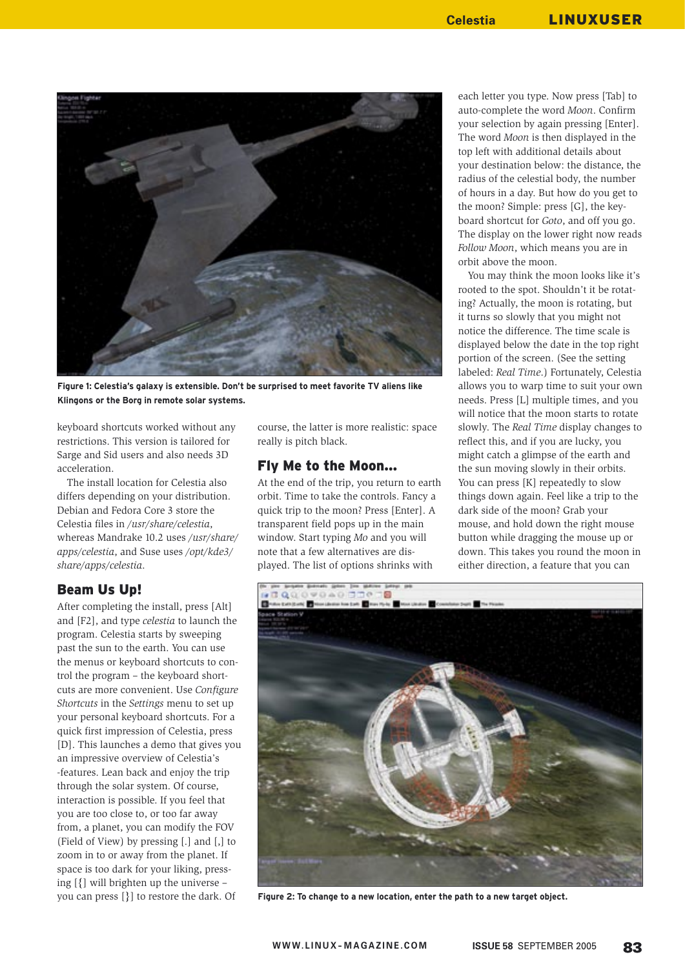

**Figure 1: Celestia's galaxy is extensible. Don't be surprised to meet favorite TV aliens like Klingons or the Borg in remote solar systems.**

keyboard shortcuts worked without any restrictions. This version is tailored for Sarge and Sid users and also needs 3D acceleration.

The install location for Celestia also differs depending on your distribution. Debian and Fedora Core 3 store the Celestia files in */usr/share/celestia*, whereas Mandrake 10.2 uses */usr/share/ apps/celestia*, and Suse uses */opt/kde3/ share/apps/celestia*.

#### Beam Us Up!

After completing the install, press [Alt] and [F2], and type *celestia* to launch the program. Celestia starts by sweeping past the sun to the earth. You can use the menus or keyboard shortcuts to control the program – the keyboard shortcuts are more convenient. Use *Configure Shortcuts* in the *Settings* menu to set up your personal keyboard shortcuts. For a quick first impression of Celestia, press [D]. This launches a demo that gives you an impressive overview of Celestia's -features. Lean back and enjoy the trip through the solar system. Of course, interaction is possible. If you feel that you are too close to, or too far away from, a planet, you can modify the FOV (Field of View) by pressing [.] and [,] to zoom in to or away from the planet. If space is too dark for your liking, pressing [{] will brighten up the universe – you can press [}] to restore the dark. Of

course, the latter is more realistic: space really is pitch black.

#### Fly Me to the Moon…

At the end of the trip, you return to earth orbit. Time to take the controls. Fancy a quick trip to the moon? Press [Enter]. A transparent field pops up in the main window. Start typing *Mo* and you will note that a few alternatives are displayed. The list of options shrinks with

each letter you type. Now press [Tab] to auto-complete the word *Moon*. Confirm your selection by again pressing [Enter]. The word *Moon* is then displayed in the top left with additional details about your destination below: the distance, the radius of the celestial body, the number of hours in a day. But how do you get to the moon? Simple: press [G], the keyboard shortcut for *Goto*, and off you go. The display on the lower right now reads *Follow Moon*, which means you are in orbit above the moon.

You may think the moon looks like it's rooted to the spot. Shouldn't it be rotating? Actually, the moon is rotating, but it turns so slowly that you might not notice the difference. The time scale is displayed below the date in the top right portion of the screen. (See the setting labeled: *Real Time*.) Fortunately, Celestia allows you to warp time to suit your own needs. Press [L] multiple times, and you will notice that the moon starts to rotate slowly. The *Real Time* display changes to reflect this, and if you are lucky, you might catch a glimpse of the earth and the sun moving slowly in their orbits. You can press [K] repeatedly to slow things down again. Feel like a trip to the dark side of the moon? Grab your mouse, and hold down the right mouse button while dragging the mouse up or down. This takes you round the moon in either direction, a feature that you can



**Figure 2: To change to a new location, enter the path to a new target object.**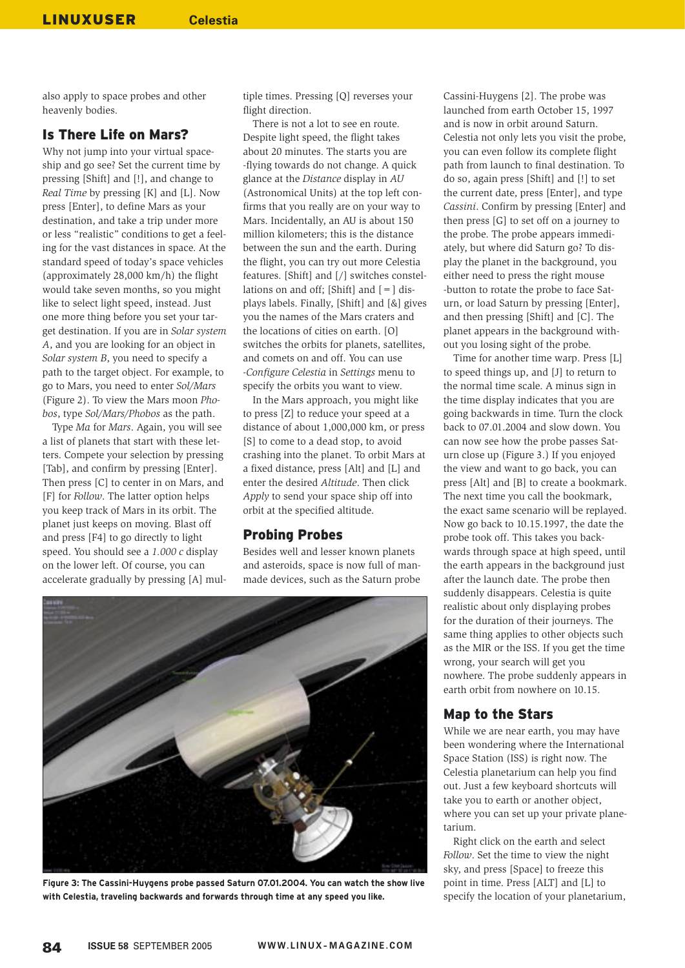also apply to space probes and other heavenly bodies.

### Is There Life on Mars?

Why not jump into your virtual spaceship and go see? Set the current time by pressing [Shift] and [!], and change to *Real Time* by pressing [K] and [L]. Now press [Enter], to define Mars as your destination, and take a trip under more or less "realistic" conditions to get a feeling for the vast distances in space. At the standard speed of today's space vehicles (approximately  $28,000 \text{ km/h}$ ) the flight would take seven months, so you might like to select light speed, instead. Just one more thing before you set your target destination. If you are in *Solar system A*, and you are looking for an object in *Solar system B*, you need to specify a path to the target object. For example, to go to Mars, you need to enter *Sol/Mars* (Figure 2). To view the Mars moon *Phobos*, type *Sol/Mars/Phobos* as the path.

Type *Ma* for *Mars*. Again, you will see a list of planets that start with these letters. Compete your selection by pressing [Tab], and confirm by pressing [Enter]. Then press [C] to center in on Mars, and [F] for *Follow*. The latter option helps you keep track of Mars in its orbit. The planet just keeps on moving. Blast off and press [F4] to go directly to light speed. You should see a *1.000 c* display on the lower left. Of course, you can accelerate gradually by pressing [A] multiple times. Pressing [Q] reverses your flight direction.

There is not a lot to see en route. Despite light speed, the flight takes about 20 minutes. The starts you are -flying towards do not change. A quick glance at the *Distance* display in *AU* (Astronomical Units) at the top left confirms that you really are on your way to Mars. Incidentally, an AU is about 150 million kilometers; this is the distance between the sun and the earth. During the flight, you can try out more Celestia features. [Shift] and [/] switches constellations on and off; [Shift] and  $[=]$  displays labels. Finally, [Shift] and [&] gives you the names of the Mars craters and the locations of cities on earth. [O] switches the orbits for planets, satellites, and comets on and off. You can use -*Configure Celestia* in *Settings* menu to specify the orbits you want to view.

In the Mars approach, you might like to press [Z] to reduce your speed at a distance of about 1,000,000 km, or press [S] to come to a dead stop, to avoid crashing into the planet. To orbit Mars at a fixed distance, press [Alt] and [L] and enter the desired *Altitude*. Then click *Apply* to send your space ship off into orbit at the specified altitude.

#### Probing Probes

Besides well and lesser known planets and asteroids, space is now full of manmade devices, such as the Saturn probe



**Figure 3: The Cassini-Huygens probe passed Saturn 07.01.2004. You can watch the show live with Celestia, traveling backwards and forwards through time at any speed you like.**

Cassini-Huygens [2]. The probe was launched from earth October 15, 1997 and is now in orbit around Saturn. Celestia not only lets you visit the probe, you can even follow its complete flight path from launch to final destination. To do so, again press [Shift] and [!] to set the current date, press [Enter], and type *Cassini*. Confirm by pressing [Enter] and then press [G] to set off on a journey to the probe. The probe appears immediately, but where did Saturn go? To display the planet in the background, you either need to press the right mouse -button to rotate the probe to face Saturn, or load Saturn by pressing [Enter], and then pressing [Shift] and [C]. The planet appears in the background without you losing sight of the probe.

Time for another time warp. Press [L] to speed things up, and [J] to return to the normal time scale. A minus sign in the time display indicates that you are going backwards in time. Turn the clock back to 07.01.2004 and slow down. You can now see how the probe passes Saturn close up (Figure 3.) If you enjoyed the view and want to go back, you can press [Alt] and [B] to create a bookmark. The next time you call the bookmark, the exact same scenario will be replayed. Now go back to 10.15.1997, the date the probe took off. This takes you backwards through space at high speed, until the earth appears in the background just after the launch date. The probe then suddenly disappears. Celestia is quite realistic about only displaying probes for the duration of their journeys. The same thing applies to other objects such as the MIR or the ISS. If you get the time wrong, your search will get you nowhere. The probe suddenly appears in earth orbit from nowhere on 10.15.

## Map to the Stars

While we are near earth, you may have been wondering where the International Space Station (ISS) is right now. The Celestia planetarium can help you find out. Just a few keyboard shortcuts will take you to earth or another object, where you can set up your private planetarium.

Right click on the earth and select *Follow*. Set the time to view the night sky, and press [Space] to freeze this point in time. Press [ALT] and [L] to specify the location of your planetarium,